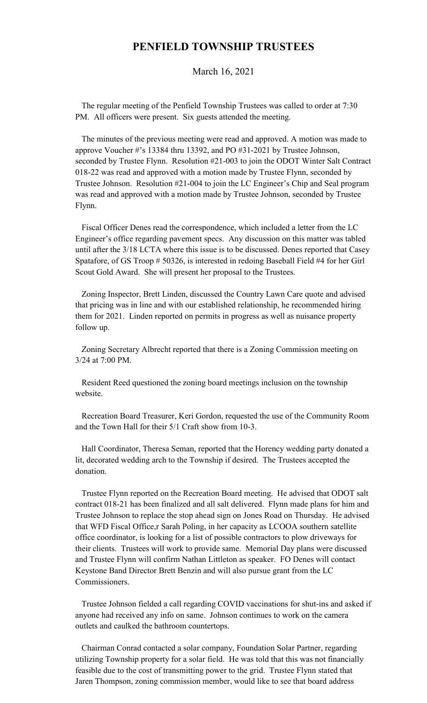## **PENFIELD TOWNSHIP TRUSTEES**

March 16, 2021

 The regular meeting of the Penfield Township Trustees was called to order at 7:30 PM. All officers were present. Six guests attended the meeting.

 The minutes of the previous meeting were read and approved. A motion was made to approve Voucher #'s 13384 thru 13392, and PO #31-2021 by Trustee Johnson, seconded by Trustee Flynn. Resolution #21-003 to join the ODOT Winter Salt Contract 018-22 was read and approved with a motion made by Trustee Flynn, seconded by Trustee Johnson. Resolution #21-004 to join the LC Engineer's Chip and Seal program was read and approved with a motion made by Trustee Johnson, seconded by Trustee Flynn.

 Fiscal Officer Denes read the correspondence, which included a letter from the LC Engineer's office regarding pavement specs. Any discussion on this matter was tabled until after the 3/18 LCTA where this issue is to be discussed. Denes reported that Casey Spatafore, of GS Troop # 50326, is interested in redoing Baseball Field #4 for her Girl Scout Gold Award. She will present her proposal to the Trustees.

 Zoning Inspector, Brett Linden, discussed the Country Lawn Care quote and advised that pricing was in line and with our established relationship, he recommended hiring them for 2021. Linden reported on permits in progress as well as nuisance property follow up.

 Zoning Secretary Albrecht reported that there is a Zoning Commission meeting on 3/24 at 7:00 PM.

 Resident Reed questioned the zoning board meetings inclusion on the township website.

 Recreation Board Treasurer, Keri Gordon, requested the use of the Community Room and the Town Hall for their 5/1 Craft show from 10-3.

 Hall Coordinator, Theresa Seman, reported that the Horency wedding party donated a lit, decorated wedding arch to the Township if desired. The Trustees accepted the donation.

 Trustee Flynn reported on the Recreation Board meeting. He advised that ODOT salt contract 018-21 has been finalized and all salt delivered. Flynn made plans for him and Trustee Johnson to replace the stop ahead sign on Jones Road on Thursday. He advised that WFD Fiscal Office,r Sarah Poling, in her capacity as LCOOA southern satellite office coordinator, is looking for a list of possible contractors to plow driveways for their clients. Trustees will work to provide same. Memorial Day plans were discussed and Trustee Flynn will confirm Nathan Littleton as speaker. FO Denes will contact Keystone Band Director Brett Benzin and will also pursue grant from the LC Commissioners.

 Trustee Johnson fielded a call regarding COVID vaccinations for shut-ins and asked if anyone had received any info on same. Johnson continues to work on the camera outlets and caulked the bathroom countertops.

 Chairman Conrad contacted a solar company, Foundation Solar Partner, regarding utilizing Township property for a solar field. He was told that this was not financially feasible due to the cost of transmitting power to the grid. Trustee Flynn stated that Jaren Thompson, zoning commission member, would like to see that board address